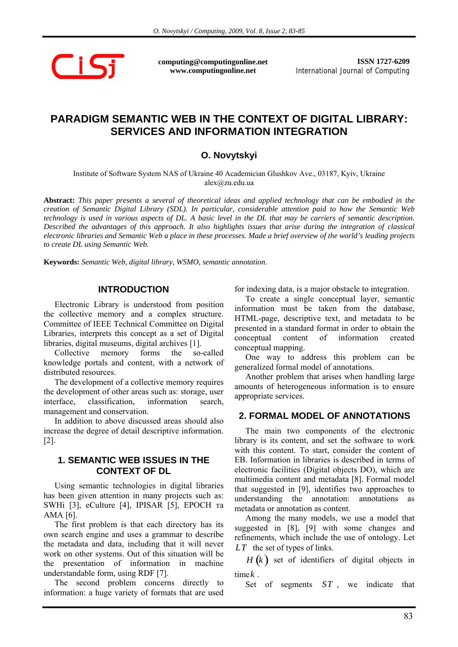$\bigcap$  is:

**computing@computingonline.net www.computingonline.net**

**ISSN 1727-6209** International Journal of Computing

# **PARADIGM SEMANTIC WEB IN THE CONTEXT OF DIGITAL LIBRARY: SERVICES AND INFORMATION INTEGRATION**

## **O. Novytskyi**

Institute of Software System NAS of Ukraine 40 Academician Glushkov Ave., 03187, Kyiv, Ukraine alex@zu.edu.ua

**Abstract:** *This paper presents a several of theoretical ideas and applied technology that can be embodied in the creation of Semantic Digital Library (SDL). In particular, considerable attention paid to how the Semantic Web technology is used in various aspects of DL. A basic level in the DL that may be carriers of semantic description. Described the advantages of this approach. It also highlights issues that arise during the integration of classical electronic libraries and Semantic Web a place in these processes. Made a brief overview of the world's leading projects to create DL using Semantic Web.* 

**Keywords:** *Semantic Web, digital library, WSMO, semantic annotation.* 

#### **INTRODUCTION**

Electronic Library is understood from position the collective memory and a complex structure. Committee of IEEE Technical Committee on Digital Libraries, interprets this concept as a set of Digital libraries, digital museums, digital archives [1].

Collective memory forms the so-called knowledge portals and content, with a network of distributed resources.

The development of a collective memory requires the development of other areas such as: storage, user interface, classification, information search, management and conservation.

In addition to above discussed areas should also increase the degree of detail descriptive information. [2].

#### **1. SEMANTIC WEB ISSUES IN THE CONTEXT OF DL**

Using semantic technologies in digital libraries has been given attention in many projects such as: SWHi [3], eCulture [4], IPISAR [5], EPOCH та AMA [6].

The first problem is that each directory has its own search engine and uses a grammar to describe the metadata and data, including that it will never work on other systems. Out of this situation will be the presentation of information in machine understandable form, using RDF [7].

The second problem concerns directly to information: a huge variety of formats that are used

for indexing data, is a major obstacle to integration.

To create a single conceptual layer, semantic information must be taken from the database, HTML-page, descriptive text, and metadata to be presented in a standard format in order to obtain the conceptual content of information created conceptual mapping.

One way to address this problem can be generalized formal model of annotations.

Another problem that arises when handling large amounts of heterogeneous information is to ensure appropriate services.

#### **2. FORMAL MODEL OF ANNOTATIONS**

The main two components of the electronic library is its content, and set the software to work with this content. To start, consider the content of EB. Information in libraries is described in terms of electronic facilities (Digital objects DO), which are multimedia content and metadata [8]. Formal model that suggested in [9], identifies two approaches to understanding the annotation: annotations as metadata or annotation as content.

Among the many models, we use a model that suggested in [8], [9] with some changes and refinements, which include the use of ontology. Let *LT* the set of types of links.

*<sup>H</sup>* (*<sup>k</sup>* ) set of identifiers of digital objects in time*k* .

Set of segments *ST* , we indicate that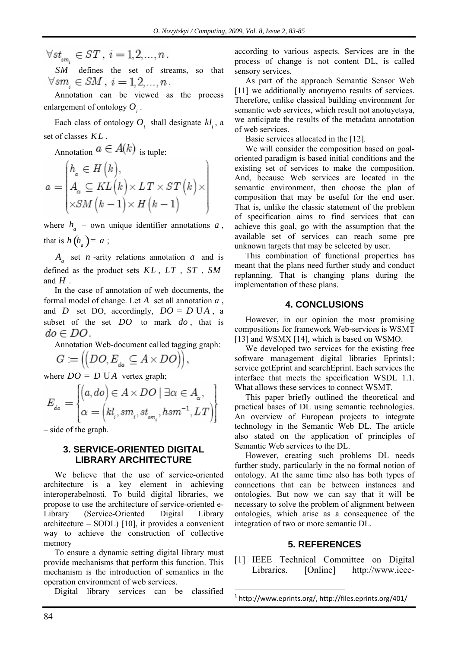$\forall st_{\scriptscriptstyle sm.} \in ST, i = 1, 2, ..., n$ .

*SM* defines the set of streams, so that  $\forall sm_i \in SM \, , \, i=1,2,\ldots,n \, .$ 

Annotation can be viewed as the process enlargement of ontology  $O_i$ .

Each class of ontology  $O_i$ , shall designate  $kl_i$ , a set of classes *KL* .

Annotation  $a \in A(k)$  is tuple:

$$
a = \begin{pmatrix} h_a \in H(k), \\ A_a \subseteq KL(k) \times LT \times ST(k) \times \\ \times SM(k-1) \times H(k-1) \end{pmatrix}
$$

where  $h_a$  – own unique identifier annotations  $a$ , that is  $h(h_a) = a$ ;

 $A<sub>a</sub>$  set *n* -arity relations annotation *a* and is defined as the product sets *KL* , *LT* , *ST* , *SM* and *H* .

In the case of annotation of web documents, the formal model of change. Let *A* set all annotation *a* , and *D* set DO, accordingly,  $DO = D UA$ , a subset of the set *DO* to mark *do* , that is  $do \in DO$ .

Annotation Web-document called tagging graph:

$$
G:=\left(\left(DO,E_{_{da}}\subseteq A\times DO\right)\right),\,
$$

where  $DO = D \text{UA}$  vertex graph;

$$
E_{d\alpha} = \begin{cases} \left(a, do\right) \in A \times DO \mid \exists \alpha \in A_{\alpha}, \\ \alpha = \left(kl_{i}, sm_{i}, st_{sm_{i}}, hsm^{-1}, LT\right) \end{cases}
$$

– side of the graph.

#### **3. SERVICE-ORIENTED DIGITAL LIBRARY ARCHITECTURE**

We believe that the use of service-oriented architecture is a key element in achieving interoperabelnosti. To build digital libraries, we propose to use the architecture of service-oriented e-Library (Service-Oriented Digital Library architecture – SODL) [10], it provides a convenient way to achieve the construction of collective memory

To ensure a dynamic setting digital library must provide mechanisms that perform this function. This mechanism is the introduction of semantics in the operation environment of web services.

Digital library services can be classified

according to various aspects. Services are in the process of change is not content DL, is called sensory services.

As part of the approach Semantic Sensor Web [11] we additionally anotuyemo results of services. Therefore, unlike classical building environment for semantic web services, which result not anotuyetsya, we anticipate the results of the metadata annotation of web services.

Basic services allocated in the [12].

We will consider the composition based on goaloriented paradigm is based initial conditions and the existing set of services to make the composition. And, because Web services are located in the semantic environment, then choose the plan of composition that may be useful for the end user. That is, unlike the classic statement of the problem of specification aims to find services that can achieve this goal, go with the assumption that the available set of services can reach some pre unknown targets that may be selected by user.

This combination of functional properties has meant that the plans need further study and conduct replanning. That is changing plans during the implementation of these plans.

## **4. CONCLUSIONS**

However, in our opinion the most promising compositions for framework Web-services is WSMT [13] and WSMX [14], which is based on WSMO.

We developed two services for the existing free software management digital libraries Eprints1: service getEprint and searchEprint. Each services the interface that meets the specification WSDL 1.1. What allows these services to connect WSMT.

This paper briefly outlined the theoretical and practical bases of DL using semantic technologies. An overview of European projects to integrate technology in the Semantic Web DL. The article also stated on the application of principles of Semantic Web services to the DL.

However, creating such problems DL needs further study, particularly in the no formal notion of ontology. At the same time also has both types of connections that can be between instances and ontologies. But now we can say that it will be necessary to solve the problem of alignment between ontologies, which arise as a consequence of the integration of two or more semantic DL.

# **5. REFERENCES**

[1] IEEE Technical Committee on Digital Libraries. [Online] http://www.ieee-

 $\overline{a}$ 

<sup>1</sup> http://www.eprints.org/, http://files.eprints.org/401/